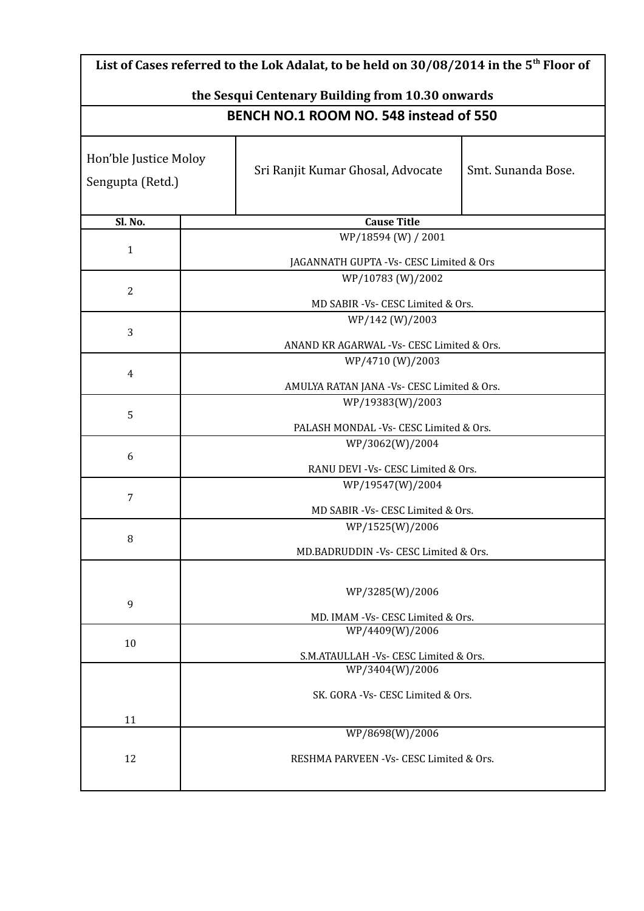| List of Cases referred to the Lok Adalat, to be held on $30/08/2014$ in the 5 <sup>th</sup> Floor of |                                                         |  |  |
|------------------------------------------------------------------------------------------------------|---------------------------------------------------------|--|--|
| the Sesqui Centenary Building from 10.30 onwards                                                     |                                                         |  |  |
|                                                                                                      | BENCH NO.1 ROOM NO. 548 instead of 550                  |  |  |
| Hon'ble Justice Moloy<br>Sengupta (Retd.)                                                            | Smt. Sunanda Bose.<br>Sri Ranjit Kumar Ghosal, Advocate |  |  |
| Sl. No.                                                                                              | <b>Cause Title</b>                                      |  |  |
|                                                                                                      | WP/18594 (W) / 2001                                     |  |  |
| $\mathbf{1}$                                                                                         | JAGANNATH GUPTA - Vs- CESC Limited & Ors                |  |  |
|                                                                                                      | WP/10783 (W)/2002                                       |  |  |
| $\overline{2}$                                                                                       |                                                         |  |  |
|                                                                                                      | MD SABIR -Vs- CESC Limited & Ors.<br>WP/142 (W)/2003    |  |  |
| 3                                                                                                    |                                                         |  |  |
|                                                                                                      | ANAND KR AGARWAL -Vs- CESC Limited & Ors.               |  |  |
| $\overline{4}$                                                                                       | WP/4710 (W)/2003                                        |  |  |
|                                                                                                      | AMULYA RATAN JANA - Vs- CESC Limited & Ors.             |  |  |
|                                                                                                      | WP/19383(W)/2003                                        |  |  |
| 5                                                                                                    | PALASH MONDAL - Vs- CESC Limited & Ors.                 |  |  |
|                                                                                                      | WP/3062(W)/2004                                         |  |  |
| 6                                                                                                    |                                                         |  |  |
|                                                                                                      | RANU DEVI - Vs- CESC Limited & Ors.                     |  |  |
| 7                                                                                                    | WP/19547(W)/2004                                        |  |  |
|                                                                                                      | MD SABIR -Vs- CESC Limited & Ors.                       |  |  |
|                                                                                                      | WP/1525(W)/2006                                         |  |  |
| 8                                                                                                    | MD.BADRUDDIN - Vs- CESC Limited & Ors.                  |  |  |
|                                                                                                      |                                                         |  |  |
|                                                                                                      | WP/3285(W)/2006                                         |  |  |
| 9                                                                                                    |                                                         |  |  |
|                                                                                                      | MD. IMAM -Vs- CESC Limited & Ors.<br>WP/4409(W)/2006    |  |  |
| 10                                                                                                   |                                                         |  |  |
|                                                                                                      | S.M.ATAULLAH -Vs- CESC Limited & Ors.                   |  |  |
|                                                                                                      | WP/3404(W)/2006                                         |  |  |
|                                                                                                      | SK. GORA - Vs- CESC Limited & Ors.                      |  |  |
| 11                                                                                                   |                                                         |  |  |
|                                                                                                      | WP/8698(W)/2006                                         |  |  |
| 12                                                                                                   | RESHMA PARVEEN -Vs- CESC Limited & Ors.                 |  |  |
|                                                                                                      |                                                         |  |  |
|                                                                                                      |                                                         |  |  |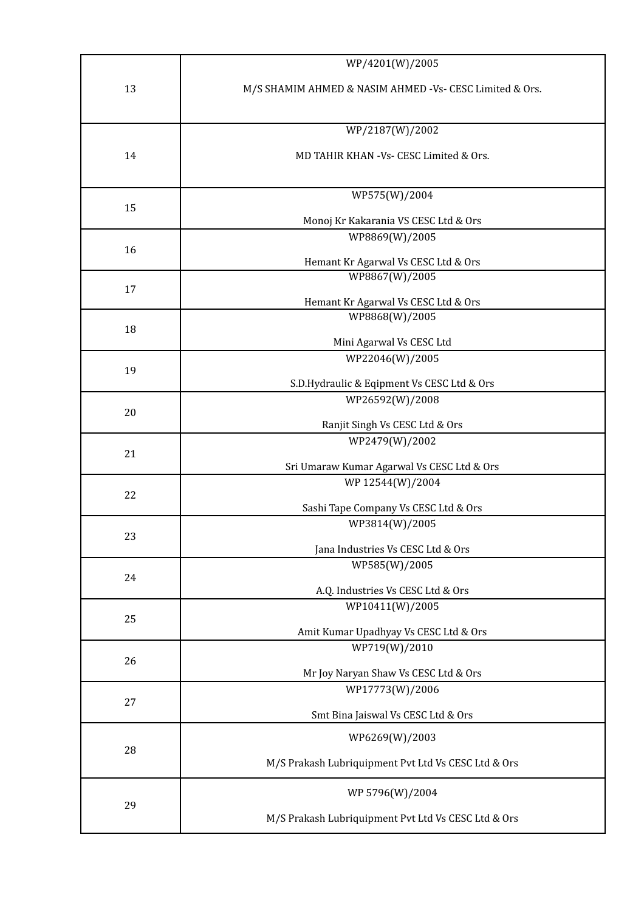|    | WP/4201(W)/2005                                          |
|----|----------------------------------------------------------|
| 13 | M/S SHAMIM AHMED & NASIM AHMED - Vs- CESC Limited & Ors. |
|    | WP/2187(W)/2002                                          |
|    |                                                          |
| 14 | MD TAHIR KHAN -Vs- CESC Limited & Ors.                   |
|    | WP575(W)/2004                                            |
| 15 | Monoj Kr Kakarania VS CESC Ltd & Ors                     |
|    | WP8869(W)/2005                                           |
| 16 |                                                          |
|    | Hemant Kr Agarwal Vs CESC Ltd & Ors<br>WP8867(W)/2005    |
| 17 |                                                          |
|    | Hemant Kr Agarwal Vs CESC Ltd & Ors<br>WP8868(W)/2005    |
| 18 |                                                          |
|    | Mini Agarwal Vs CESC Ltd                                 |
| 19 | WP22046(W)/2005                                          |
|    | S.D.Hydraulic & Eqipment Vs CESC Ltd & Ors               |
|    | WP26592(W)/2008                                          |
| 20 | Ranjit Singh Vs CESC Ltd & Ors                           |
| 21 | WP2479(W)/2002                                           |
|    | Sri Umaraw Kumar Agarwal Vs CESC Ltd & Ors               |
|    | WP 12544(W)/2004                                         |
| 22 | Sashi Tape Company Vs CESC Ltd & Ors                     |
|    | WP3814(W)/2005                                           |
| 23 |                                                          |
|    | Jana Industries Vs CESC Ltd & Ors<br>WP585(W)/2005       |
| 24 |                                                          |
|    | A.Q. Industries Vs CESC Ltd & Ors                        |
| 25 | WP10411(W)/2005                                          |
|    | Amit Kumar Upadhyay Vs CESC Ltd & Ors                    |
| 26 | WP719(W)/2010                                            |
|    | Mr Joy Naryan Shaw Vs CESC Ltd & Ors                     |
|    | WP17773(W)/2006                                          |
| 27 | Smt Bina Jaiswal Vs CESC Ltd & Ors                       |
|    | WP6269(W)/2003                                           |
| 28 | M/S Prakash Lubriquipment Pvt Ltd Vs CESC Ltd & Ors      |
|    | WP 5796(W)/2004                                          |
| 29 | M/S Prakash Lubriquipment Pvt Ltd Vs CESC Ltd & Ors      |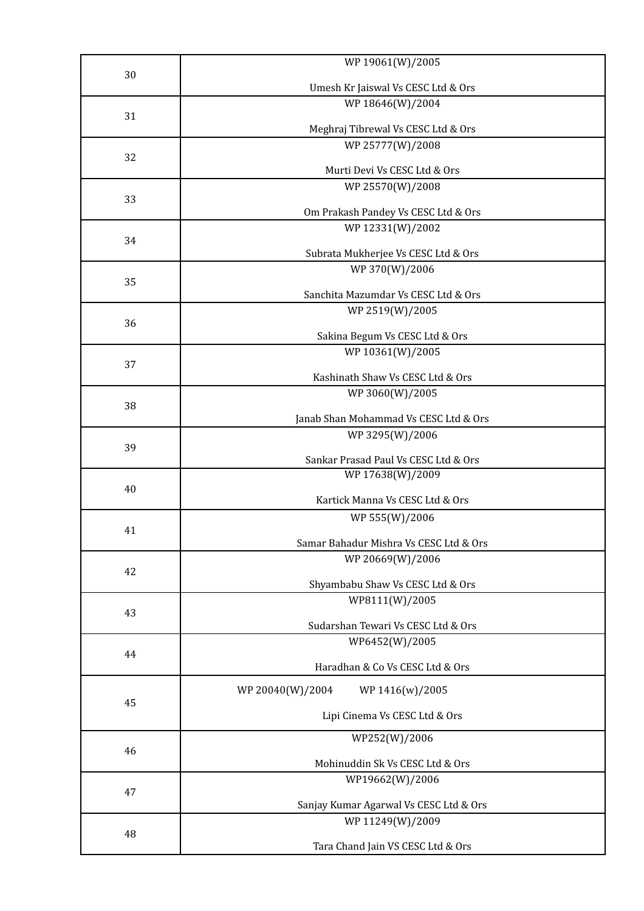| 30 | WP 19061(W)/2005                                   |
|----|----------------------------------------------------|
|    |                                                    |
|    | Umesh Kr Jaiswal Vs CESC Ltd & Ors                 |
| 31 | WP 18646(W)/2004                                   |
|    | Meghraj Tibrewal Vs CESC Ltd & Ors                 |
|    | WP 25777(W)/2008                                   |
| 32 | Murti Devi Vs CESC Ltd & Ors                       |
|    | WP 25570(W)/2008                                   |
| 33 |                                                    |
|    | Om Prakash Pandey Vs CESC Ltd & Ors                |
|    | WP 12331(W)/2002                                   |
| 34 | Subrata Mukherjee Vs CESC Ltd & Ors                |
|    | WP 370(W)/2006                                     |
| 35 |                                                    |
|    | Sanchita Mazumdar Vs CESC Ltd & Ors                |
| 36 | WP 2519(W)/2005                                    |
|    | Sakina Begum Vs CESC Ltd & Ors                     |
|    | WP 10361(W)/2005                                   |
| 37 |                                                    |
|    | Kashinath Shaw Vs CESC Ltd & Ors                   |
| 38 | WP 3060(W)/2005                                    |
|    | Janab Shan Mohammad Vs CESC Ltd & Ors              |
|    | WP 3295(W)/2006                                    |
| 39 | Sankar Prasad Paul Vs CESC Ltd & Ors               |
|    | WP 17638(W)/2009                                   |
| 40 |                                                    |
|    | Kartick Manna Vs CESC Ltd & Ors                    |
|    | WP 555(W)/2006                                     |
| 41 | Samar Bahadur Mishra Vs CESC Ltd & Ors             |
|    | WP 20669(W)/2006                                   |
| 42 |                                                    |
|    | Shyambabu Shaw Vs CESC Ltd & Ors<br>WP8111(W)/2005 |
| 43 |                                                    |
|    | Sudarshan Tewari Vs CESC Ltd & Ors                 |
|    | WP6452(W)/2005                                     |
| 44 | Haradhan & Co Vs CESC Ltd & Ors                    |
|    |                                                    |
| 45 | WP 20040(W)/2004<br>WP 1416(w)/2005                |
|    | Lipi Cinema Vs CESC Ltd & Ors                      |
|    |                                                    |
| 46 | WP252(W)/2006                                      |
|    | Mohinuddin Sk Vs CESC Ltd & Ors                    |
|    | WP19662(W)/2006                                    |
| 47 | Sanjay Kumar Agarwal Vs CESC Ltd & Ors             |
|    | WP 11249(W)/2009                                   |
| 48 |                                                    |
|    | Tara Chand Jain VS CESC Ltd & Ors                  |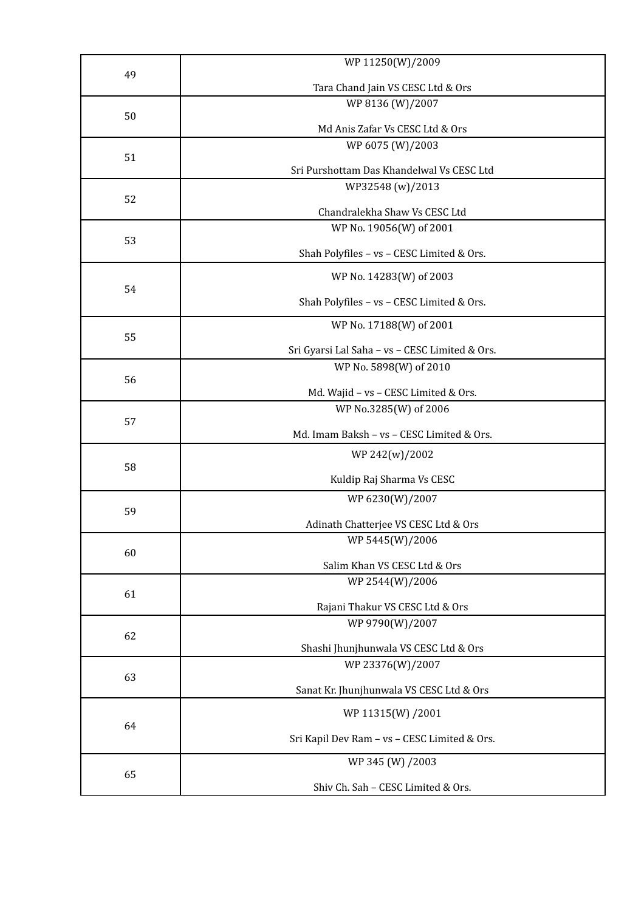|    | WP 11250(W)/2009                               |
|----|------------------------------------------------|
| 49 |                                                |
|    | Tara Chand Jain VS CESC Ltd & Ors              |
| 50 | WP 8136 (W)/2007                               |
|    | Md Anis Zafar Vs CESC Ltd & Ors                |
| 51 | WP 6075 (W)/2003                               |
|    | Sri Purshottam Das Khandelwal Vs CESC Ltd      |
|    | WP32548 (w)/2013                               |
| 52 |                                                |
|    | Chandralekha Shaw Vs CESC Ltd                  |
|    | WP No. 19056(W) of 2001                        |
| 53 |                                                |
|    | Shah Polyfiles - vs - CESC Limited & Ors.      |
|    | WP No. 14283(W) of 2003                        |
| 54 | Shah Polyfiles - vs - CESC Limited & Ors.      |
|    |                                                |
| 55 | WP No. 17188(W) of 2001                        |
|    | Sri Gyarsi Lal Saha - vs - CESC Limited & Ors. |
|    | WP No. 5898(W) of 2010                         |
| 56 |                                                |
|    | Md. Wajid - vs - CESC Limited & Ors.           |
|    | WP No.3285(W) of 2006                          |
| 57 | Md. Imam Baksh - vs - CESC Limited & Ors.      |
|    | WP 242(w)/2002                                 |
| 58 |                                                |
|    | Kuldip Raj Sharma Vs CESC                      |
|    | WP 6230(W)/2007                                |
| 59 |                                                |
|    | Adinath Chatterjee VS CESC Ltd & Ors           |
| 60 | WP 5445(W)/2006                                |
|    | Salim Khan VS CESC Ltd & Ors                   |
|    | WP 2544(W)/2006                                |
| 61 |                                                |
|    | Rajani Thakur VS CESC Ltd & Ors                |
| 62 | WP 9790(W)/2007                                |
|    | Shashi Jhunjhunwala VS CESC Ltd & Ors          |
|    | WP 23376(W)/2007                               |
| 63 |                                                |
|    | Sanat Kr. Jhunjhunwala VS CESC Ltd & Ors       |
|    | WP 11315(W) /2001                              |
| 64 | Sri Kapil Dev Ram - vs - CESC Limited & Ors.   |
|    |                                                |
|    | WP 345 (W) /2003                               |
| 65 | Shiv Ch. Sah - CESC Limited & Ors.             |
|    |                                                |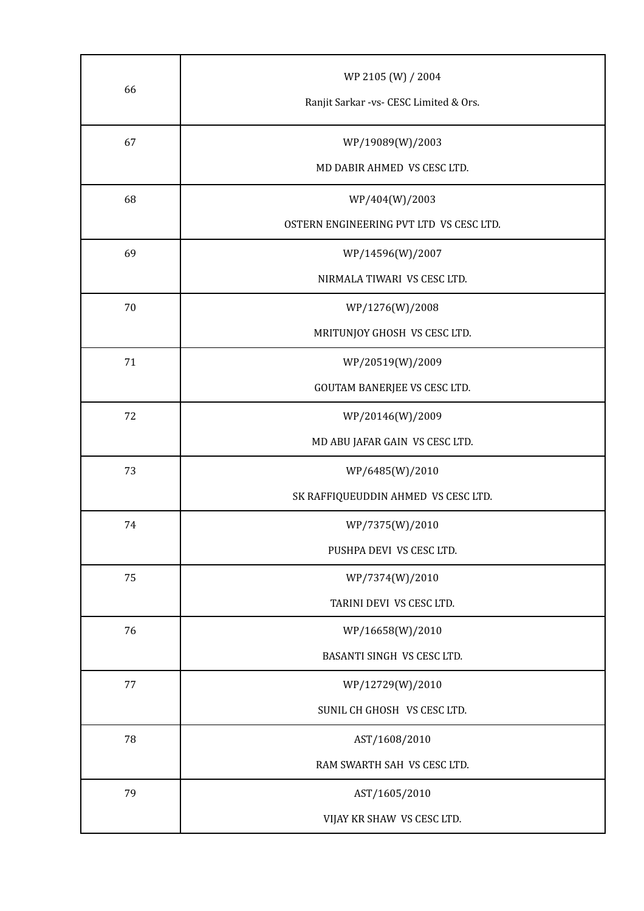| 66 | WP 2105 (W) / 2004<br>Ranjit Sarkar -vs- CESC Limited & Ors. |
|----|--------------------------------------------------------------|
| 67 | WP/19089(W)/2003                                             |
|    | MD DABIR AHMED VS CESC LTD.                                  |
| 68 | WP/404(W)/2003                                               |
|    | OSTERN ENGINEERING PVT LTD VS CESC LTD.                      |
| 69 | WP/14596(W)/2007                                             |
|    | NIRMALA TIWARI VS CESC LTD.                                  |
| 70 | WP/1276(W)/2008                                              |
|    | MRITUNJOY GHOSH VS CESC LTD.                                 |
| 71 | WP/20519(W)/2009                                             |
|    | GOUTAM BANERJEE VS CESC LTD.                                 |
| 72 | WP/20146(W)/2009                                             |
|    | MD ABU JAFAR GAIN VS CESC LTD.                               |
| 73 | WP/6485(W)/2010                                              |
|    | SK RAFFIQUEUDDIN AHMED VS CESC LTD.                          |
| 74 | WP/7375(W)/2010                                              |
|    | PUSHPA DEVI VS CESC LTD.                                     |
| 75 | WP/7374(W)/2010                                              |
|    | TARINI DEVI VS CESC LTD.                                     |
| 76 | WP/16658(W)/2010                                             |
|    | BASANTI SINGH VS CESC LTD.                                   |
| 77 | WP/12729(W)/2010                                             |
|    | SUNIL CH GHOSH VS CESC LTD.                                  |
| 78 | AST/1608/2010                                                |
|    | RAM SWARTH SAH VS CESC LTD.                                  |
| 79 | AST/1605/2010                                                |
|    | VIJAY KR SHAW VS CESC LTD.                                   |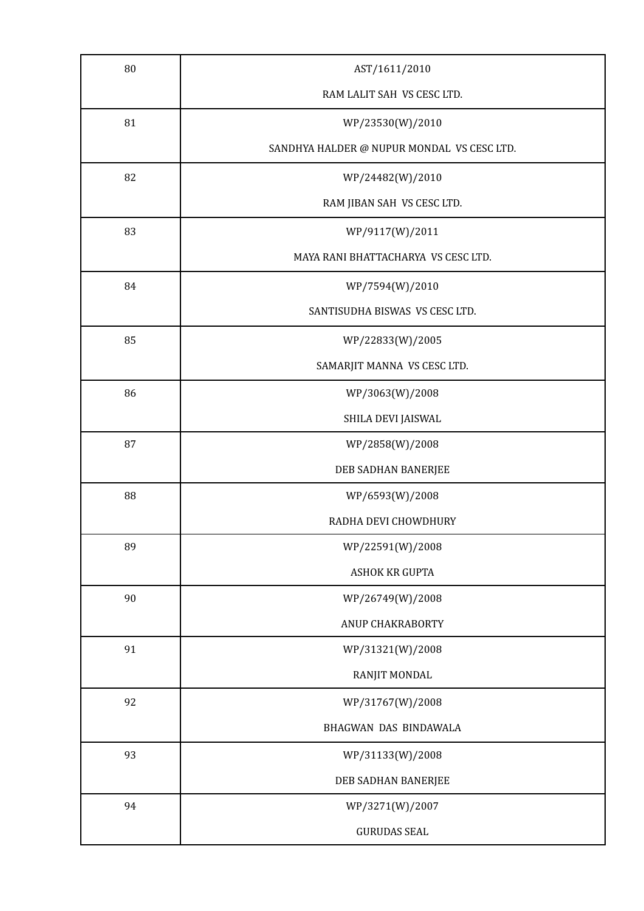| 80 | AST/1611/2010                              |
|----|--------------------------------------------|
|    | RAM LALIT SAH VS CESC LTD.                 |
| 81 | WP/23530(W)/2010                           |
|    | SANDHYA HALDER @ NUPUR MONDAL VS CESC LTD. |
| 82 | WP/24482(W)/2010                           |
|    | RAM JIBAN SAH VS CESC LTD.                 |
| 83 | WP/9117(W)/2011                            |
|    | MAYA RANI BHATTACHARYA VS CESC LTD.        |
| 84 | WP/7594(W)/2010                            |
|    | SANTISUDHA BISWAS VS CESC LTD.             |
| 85 | WP/22833(W)/2005                           |
|    | SAMARJIT MANNA VS CESC LTD.                |
| 86 | WP/3063(W)/2008                            |
|    | SHILA DEVI JAISWAL                         |
| 87 | WP/2858(W)/2008                            |
|    | DEB SADHAN BANERJEE                        |
| 88 | WP/6593(W)/2008                            |
|    | RADHA DEVI CHOWDHURY                       |
| 89 | WP/22591(W)/2008                           |
|    | ASHOK KR GUPTA                             |
| 90 | WP/26749(W)/2008                           |
|    | ANUP CHAKRABORTY                           |
| 91 | WP/31321(W)/2008                           |
|    | RANJIT MONDAL                              |
| 92 | WP/31767(W)/2008                           |
|    | BHAGWAN DAS BINDAWALA                      |
| 93 | WP/31133(W)/2008                           |
|    | DEB SADHAN BANERJEE                        |
| 94 | WP/3271(W)/2007                            |
|    | <b>GURUDAS SEAL</b>                        |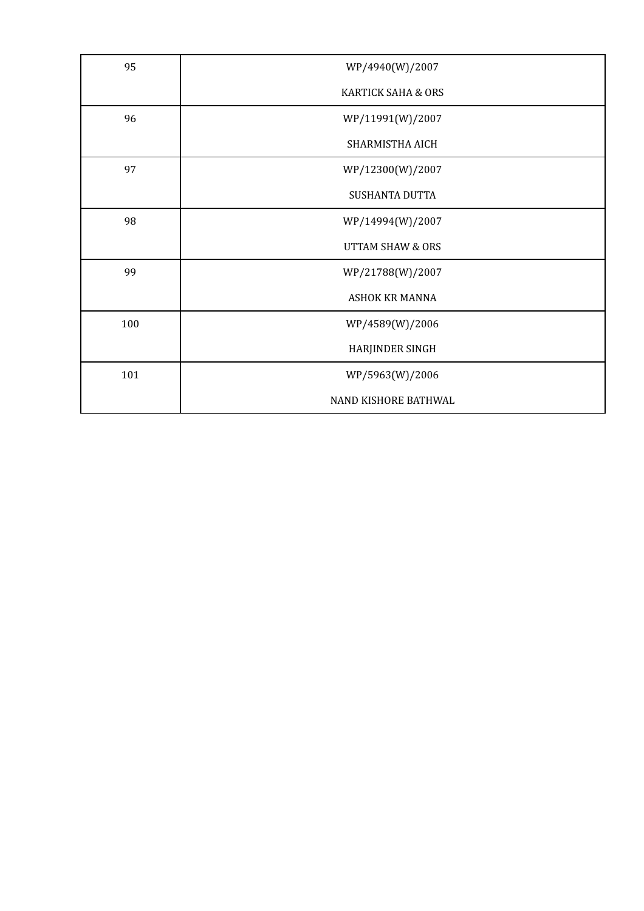| 95  | WP/4940(W)/2007               |
|-----|-------------------------------|
|     | <b>KARTICK SAHA &amp; ORS</b> |
| 96  | WP/11991(W)/2007              |
|     | SHARMISTHA AICH               |
| 97  | WP/12300(W)/2007              |
|     | <b>SUSHANTA DUTTA</b>         |
| 98  | WP/14994(W)/2007              |
|     | <b>UTTAM SHAW &amp; ORS</b>   |
| 99  | WP/21788(W)/2007              |
|     | <b>ASHOK KR MANNA</b>         |
| 100 | WP/4589(W)/2006               |
|     | HARJINDER SINGH               |
| 101 | WP/5963(W)/2006               |
|     | NAND KISHORE BATHWAL          |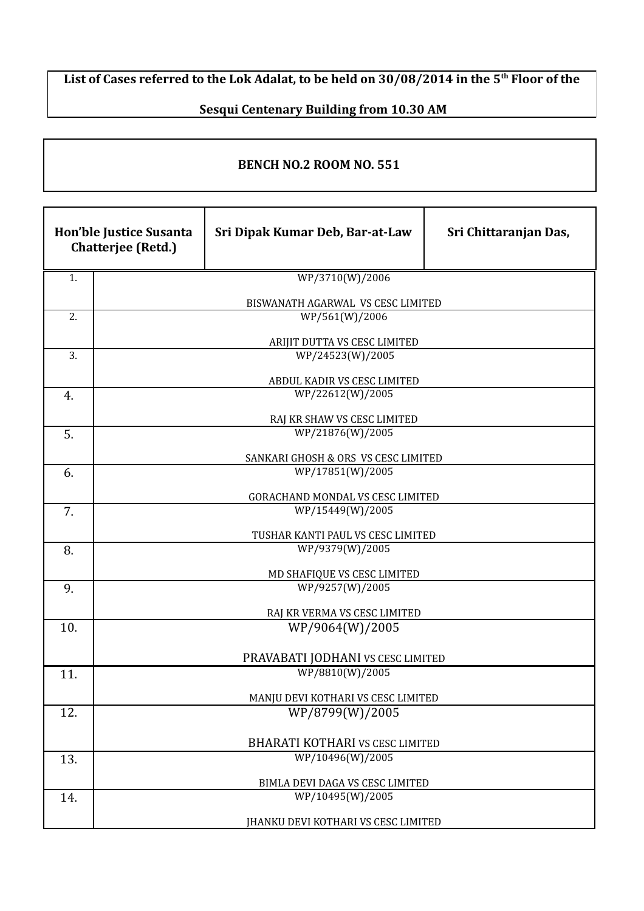## **List of Cases referred to the Lok Adalat, to be held on 30/08/2014 in the 5th Floor of the**

## **Sesqui Centenary Building from 10.30 AM**

## **BENCH NO.2 ROOM NO. 551**

|     | Hon'ble Justice Susanta<br><b>Chatterjee (Retd.)</b> | Sri Dipak Kumar Deb, Bar-at-Law                      | Sri Chittaranjan Das, |
|-----|------------------------------------------------------|------------------------------------------------------|-----------------------|
| 1.  |                                                      | WP/3710(W)/2006                                      |                       |
|     |                                                      | BISWANATH AGARWAL VS CESC LIMITED                    |                       |
| 2.  |                                                      | WP/561(W)/2006                                       |                       |
|     |                                                      | ARIJIT DUTTA VS CESC LIMITED                         |                       |
| 3.  |                                                      | WP/24523(W)/2005                                     |                       |
|     |                                                      | ABDUL KADIR VS CESC LIMITED                          |                       |
| 4.  |                                                      | WP/22612(W)/2005                                     |                       |
|     |                                                      | RAJ KR SHAW VS CESC LIMITED                          |                       |
| 5.  |                                                      | WP/21876(W)/2005                                     |                       |
|     |                                                      | SANKARI GHOSH & ORS VS CESC LIMITED                  |                       |
| 6.  |                                                      | WP/17851(W)/2005                                     |                       |
|     |                                                      | GORACHAND MONDAL VS CESC LIMITED                     |                       |
| 7.  |                                                      | WP/15449(W)/2005                                     |                       |
|     |                                                      | TUSHAR KANTI PAUL VS CESC LIMITED                    |                       |
| 8.  |                                                      | WP/9379(W)/2005                                      |                       |
|     |                                                      | MD SHAFIQUE VS CESC LIMITED                          |                       |
| 9.  |                                                      | WP/9257(W)/2005                                      |                       |
|     |                                                      | RAJ KR VERMA VS CESC LIMITED                         |                       |
| 10. |                                                      | WP/9064(W)/2005                                      |                       |
|     |                                                      |                                                      |                       |
| 11. |                                                      | PRAVABATI JODHANI VS CESC LIMITED<br>WP/8810(W)/2005 |                       |
|     |                                                      |                                                      |                       |
|     |                                                      | MANJU DEVI KOTHARI VS CESC LIMITED                   |                       |
| 12. |                                                      | WP/8799(W)/2005                                      |                       |
|     |                                                      | BHARATI KOTHARI VS CESC LIMITED                      |                       |
| 13. |                                                      | WP/10496(W)/2005                                     |                       |
|     |                                                      | BIMLA DEVI DAGA VS CESC LIMITED                      |                       |
| 14. |                                                      | WP/10495(W)/2005                                     |                       |
|     |                                                      | JHANKU DEVI KOTHARI VS CESC LIMITED                  |                       |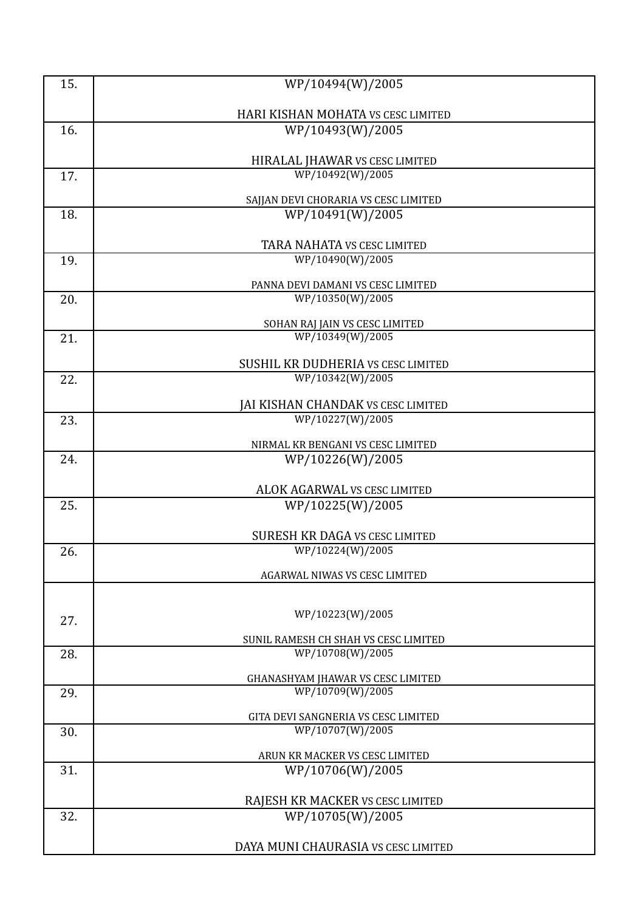| 15. | WP/10494(W)/2005                                       |
|-----|--------------------------------------------------------|
|     |                                                        |
|     | HARI KISHAN MOHATA VS CESC LIMITED                     |
| 16. | WP/10493(W)/2005                                       |
|     |                                                        |
|     | HIRALAL JHAWAR VS CESC LIMITED<br>WP/10492(W)/2005     |
| 17. |                                                        |
|     | SAJJAN DEVI CHORARIA VS CESC LIMITED                   |
| 18. | WP/10491(W)/2005                                       |
|     | TARA NAHATA VS CESC LIMITED                            |
| 19. | WP/10490(W)/2005                                       |
|     |                                                        |
|     | PANNA DEVI DAMANI VS CESC LIMITED                      |
| 20. | WP/10350(W)/2005                                       |
|     | SOHAN RAJ JAIN VS CESC LIMITED                         |
| 21. | WP/10349(W)/2005                                       |
|     | SUSHIL KR DUDHERIA VS CESC LIMITED                     |
| 22. | WP/10342(W)/2005                                       |
|     |                                                        |
|     | JAI KISHAN CHANDAK VS CESC LIMITED<br>WP/10227(W)/2005 |
| 23. |                                                        |
|     | NIRMAL KR BENGANI VS CESC LIMITED                      |
| 24. | WP/10226(W)/2005                                       |
|     | ALOK AGARWAL VS CESC LIMITED                           |
| 25. | WP/10225(W)/2005                                       |
|     |                                                        |
|     | <b>SURESH KR DAGA VS CESC LIMITED</b>                  |
| 26. | WP/10224(W)/2005                                       |
|     | AGARWAL NIWAS VS CESC LIMITED                          |
|     |                                                        |
|     |                                                        |
| 27. | WP/10223(W)/2005                                       |
|     | SUNIL RAMESH CH SHAH VS CESC LIMITED                   |
| 28. | WP/10708(W)/2005                                       |
|     | GHANASHYAM JHAWAR VS CESC LIMITED                      |
| 29. | WP/10709(W)/2005                                       |
|     | GITA DEVI SANGNERIA VS CESC LIMITED                    |
| 30. | WP/10707(W)/2005                                       |
|     |                                                        |
| 31. | ARUN KR MACKER VS CESC LIMITED<br>WP/10706(W)/2005     |
|     |                                                        |
|     | RAJESH KR MACKER VS CESC LIMITED                       |
| 32. | WP/10705(W)/2005                                       |
|     |                                                        |
|     | DAYA MUNI CHAURASIA VS CESC LIMITED                    |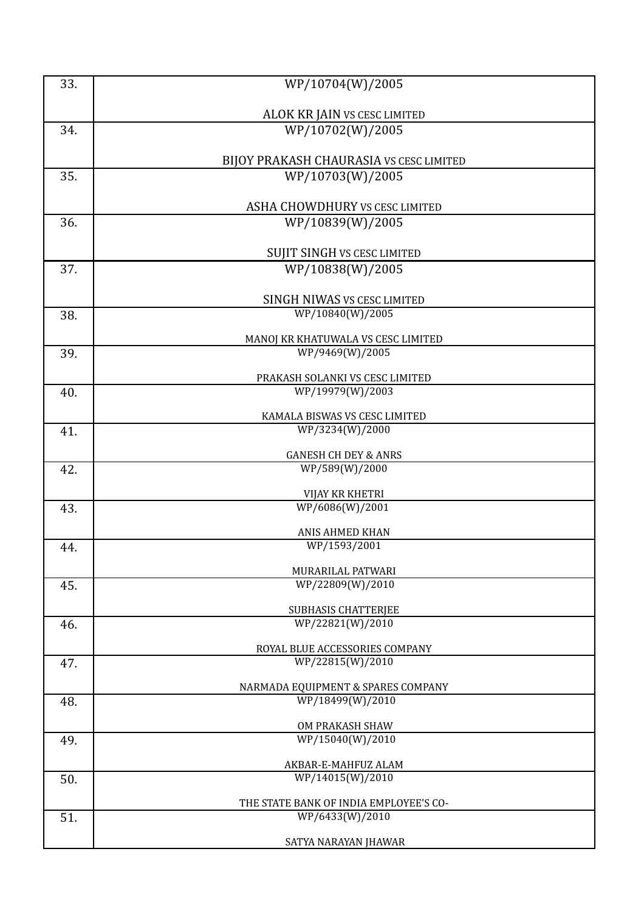| 33. | WP/10704(W)/2005                               |
|-----|------------------------------------------------|
|     |                                                |
|     | ALOK KR JAIN VS CESC LIMITED                   |
| 34. | WP/10702(W)/2005                               |
|     |                                                |
|     | BIJOY PRAKASH CHAURASIA VS CESC LIMITED        |
| 35. | WP/10703(W)/2005                               |
|     | ASHA CHOWDHURY VS CESC LIMITED                 |
| 36. | WP/10839(W)/2005                               |
|     |                                                |
|     | <b>SUJIT SINGH VS CESC LIMITED</b>             |
| 37. | WP/10838(W)/2005                               |
|     |                                                |
|     | SINGH NIWAS VS CESC LIMITED                    |
| 38. | WP/10840(W)/2005                               |
|     | MANOJ KR KHATUWALA VS CESC LIMITED             |
| 39. | WP/9469(W)/2005                                |
|     | PRAKASH SOLANKI VS CESC LIMITED                |
| 40. | WP/19979(W)/2003                               |
|     | KAMALA BISWAS VS CESC LIMITED                  |
| 41. | WP/3234(W)/2000                                |
|     |                                                |
|     | <b>GANESH CH DEY &amp; ANRS</b>                |
| 42. | WP/589(W)/2000                                 |
|     | VIJAY KR KHETRI                                |
| 43. | WP/6086(W)/2001                                |
|     | ANIS AHMED KHAN                                |
| 44. | WP/1593/2001                                   |
|     | MURARILAL PATWARI                              |
| 45. | WP/22809(W)/2010                               |
|     |                                                |
| 46. | <b>SUBHASIS CHATTERJEE</b><br>WP/22821(W)/2010 |
|     |                                                |
|     | ROYAL BLUE ACCESSORIES COMPANY                 |
| 47. | WP/22815(W)/2010                               |
|     | NARMADA EQUIPMENT & SPARES COMPANY             |
| 48. | WP/18499(W)/2010                               |
|     | OM PRAKASH SHAW                                |
| 49. | WP/15040(W)/2010                               |
|     |                                                |
| 50. | AKBAR-E-MAHFUZ ALAM<br>WP/14015(W)/2010        |
|     |                                                |
|     | THE STATE BANK OF INDIA EMPLOYEE'S CO-         |
| 51. | WP/6433(W)/2010                                |
|     | SATYA NARAYAN JHAWAR                           |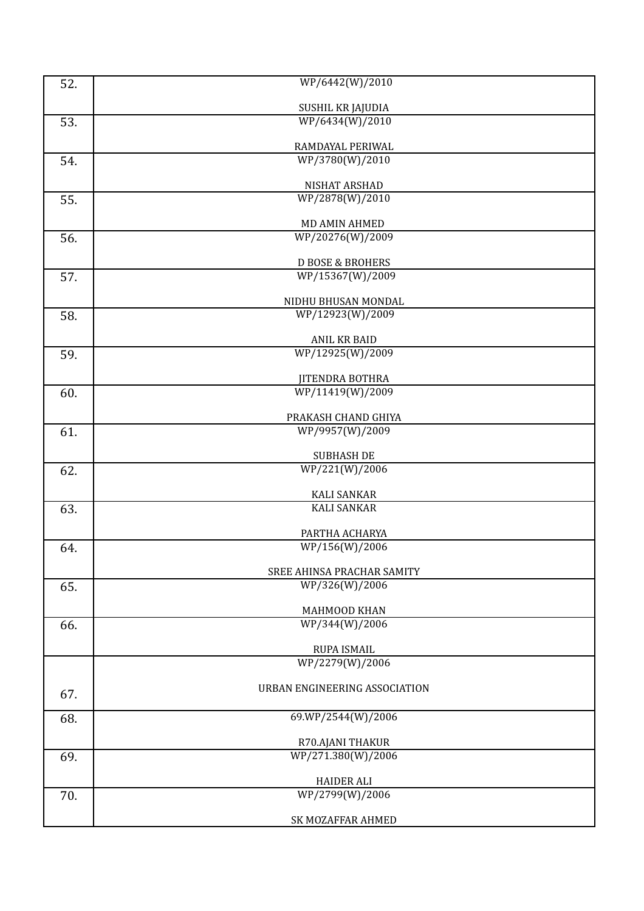| 52. | WP/6442(W)/2010                                              |
|-----|--------------------------------------------------------------|
|     |                                                              |
| 53. | SUSHIL KR JAJUDIA<br>WP/6434(W)/2010                         |
|     |                                                              |
|     | RAMDAYAL PERIWAL                                             |
| 54. | WP/3780(W)/2010                                              |
|     | NISHAT ARSHAD                                                |
| 55. | WP/2878(W)/2010                                              |
|     | MD AMIN AHMED                                                |
| 56. | WP/20276(W)/2009                                             |
|     | <b>D BOSE &amp; BROHERS</b>                                  |
| 57. | WP/15367(W)/2009                                             |
|     |                                                              |
| 58. | NIDHU BHUSAN MONDAL<br>$\overline{\text{WP}}$ /12923(W)/2009 |
|     |                                                              |
|     | <b>ANIL KR BAID</b>                                          |
| 59. | WP/12925(W)/2009                                             |
|     | <b>JITENDRA BOTHRA</b>                                       |
| 60. | WP/11419(W)/2009                                             |
|     | PRAKASH CHAND GHIYA                                          |
| 61. | WP/9957(W)/2009                                              |
|     | <b>SUBHASH DE</b>                                            |
| 62. | WP/221(W)/2006                                               |
|     | <b>KALI SANKAR</b>                                           |
| 63. | <b>KALI SANKAR</b>                                           |
|     |                                                              |
| 64. | PARTHA ACHARYA<br>WP/156(W)/2006                             |
|     |                                                              |
| 65. | SREE AHINSA PRACHAR SAMITY<br>WP/326(W)/2006                 |
|     |                                                              |
|     | MAHMOOD KHAN<br>WP/344(W)/2006                               |
| 66. |                                                              |
|     | RUPA ISMAIL                                                  |
|     | WP/2279(W)/2006                                              |
| 67. | URBAN ENGINEERING ASSOCIATION                                |
|     |                                                              |
| 68. | 69.WP/2544(W)/2006                                           |
|     | R70.AJANI THAKUR                                             |
| 69. | WP/271.380(W)/2006                                           |
|     | <b>HAIDER ALI</b>                                            |
| 70. | WP/2799(W)/2006                                              |
|     | SK MOZAFFAR AHMED                                            |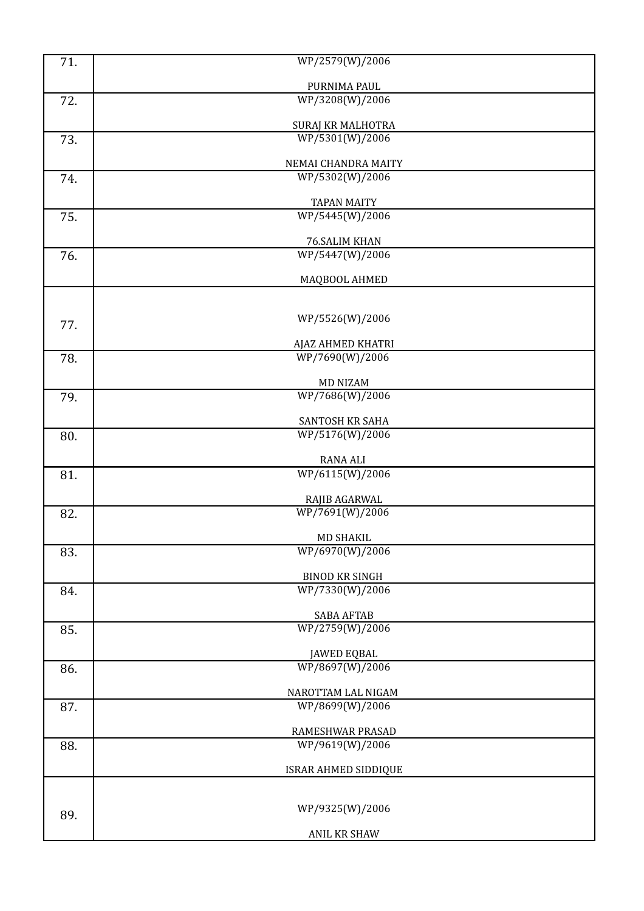| 71. | WP/2579(W)/2006                       |  |
|-----|---------------------------------------|--|
|     | PURNIMA PAUL                          |  |
| 72. | WP/3208(W)/2006                       |  |
|     |                                       |  |
|     | SURAJ KR MALHOTRA                     |  |
| 73. | WP/5301(W)/2006                       |  |
|     | NEMAI CHANDRA MAITY                   |  |
| 74. | WP/5302(W)/2006                       |  |
|     | <b>TAPAN MAITY</b>                    |  |
| 75. | WP/5445(W)/2006                       |  |
|     | 76.SALIM KHAN                         |  |
| 76. | WP/5447(W)/2006                       |  |
|     |                                       |  |
|     | MAQBOOL AHMED                         |  |
|     |                                       |  |
| 77. | WP/5526(W)/2006                       |  |
|     | AJAZ AHMED KHATRI                     |  |
| 78. | WP/7690(W)/2006                       |  |
|     |                                       |  |
| 79. | <b>MD NIZAM</b><br>WP/7686(W)/2006    |  |
|     |                                       |  |
|     | SANTOSH KR SAHA                       |  |
| 80. | WP/5176(W)/2006                       |  |
|     | <b>RANA ALI</b>                       |  |
| 81. | WP/6115(W)/2006                       |  |
|     | RAJIB AGARWAL                         |  |
| 82. | WP/7691(W)/2006                       |  |
|     |                                       |  |
| 83. | MD SHAKIL<br>WP/6970(W)/2006          |  |
|     |                                       |  |
|     | <b>BINOD KR SINGH</b>                 |  |
| 84. | WP/7330(W)/2006                       |  |
|     | <b>SABA AFTAB</b>                     |  |
| 85. | WP/2759(W)/2006                       |  |
|     | <b>JAWED EQBAL</b>                    |  |
| 86. | WP/8697(W)/2006                       |  |
|     |                                       |  |
| 87. | NAROTTAM LAL NIGAM<br>WP/8699(W)/2006 |  |
|     |                                       |  |
|     | RAMESHWAR PRASAD                      |  |
| 88. | WP/9619(W)/2006                       |  |
|     | ISRAR AHMED SIDDIQUE                  |  |
|     |                                       |  |
|     | WP/9325(W)/2006                       |  |
| 89. |                                       |  |
|     | ANIL KR SHAW                          |  |